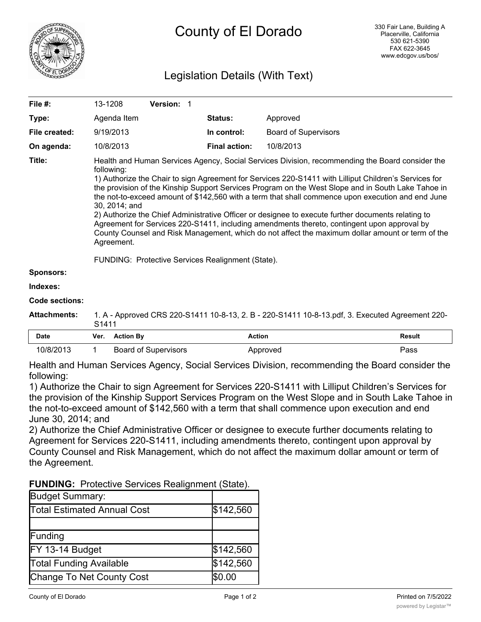

# Legislation Details (With Text)

| File #:               | 13-1208                                                                                                                                                                                                                                                                                                                                                                                                                                                                                                                                                                                                                                                                                                                                                                                                                        | Version: 1 |                      |                                                                                                 |
|-----------------------|--------------------------------------------------------------------------------------------------------------------------------------------------------------------------------------------------------------------------------------------------------------------------------------------------------------------------------------------------------------------------------------------------------------------------------------------------------------------------------------------------------------------------------------------------------------------------------------------------------------------------------------------------------------------------------------------------------------------------------------------------------------------------------------------------------------------------------|------------|----------------------|-------------------------------------------------------------------------------------------------|
| Type:                 | Agenda Item                                                                                                                                                                                                                                                                                                                                                                                                                                                                                                                                                                                                                                                                                                                                                                                                                    |            | <b>Status:</b>       | Approved                                                                                        |
| File created:         | 9/19/2013                                                                                                                                                                                                                                                                                                                                                                                                                                                                                                                                                                                                                                                                                                                                                                                                                      |            | In control:          | <b>Board of Supervisors</b>                                                                     |
| On agenda:            | 10/8/2013                                                                                                                                                                                                                                                                                                                                                                                                                                                                                                                                                                                                                                                                                                                                                                                                                      |            | <b>Final action:</b> | 10/8/2013                                                                                       |
| Title:                | Health and Human Services Agency, Social Services Division, recommending the Board consider the<br>following:<br>1) Authorize the Chair to sign Agreement for Services 220-S1411 with Lilliput Children's Services for<br>the provision of the Kinship Support Services Program on the West Slope and in South Lake Tahoe in<br>the not-to-exceed amount of \$142,560 with a term that shall commence upon execution and end June<br>30, 2014; and<br>2) Authorize the Chief Administrative Officer or designee to execute further documents relating to<br>Agreement for Services 220-S1411, including amendments thereto, contingent upon approval by<br>County Counsel and Risk Management, which do not affect the maximum dollar amount or term of the<br>Agreement.<br>FUNDING: Protective Services Realignment (State). |            |                      |                                                                                                 |
| <b>Sponsors:</b>      |                                                                                                                                                                                                                                                                                                                                                                                                                                                                                                                                                                                                                                                                                                                                                                                                                                |            |                      |                                                                                                 |
| Indexes:              |                                                                                                                                                                                                                                                                                                                                                                                                                                                                                                                                                                                                                                                                                                                                                                                                                                |            |                      |                                                                                                 |
| <b>Code sections:</b> |                                                                                                                                                                                                                                                                                                                                                                                                                                                                                                                                                                                                                                                                                                                                                                                                                                |            |                      |                                                                                                 |
| <b>Attachments:</b>   |                                                                                                                                                                                                                                                                                                                                                                                                                                                                                                                                                                                                                                                                                                                                                                                                                                |            |                      | 1. A - Approved CRS 220-S1411 10-8-13, 2. B - 220-S1411 10-8-13.pdf, 3. Executed Agreement 220- |

|      | 21111                    |        | .             |
|------|--------------------------|--------|---------------|
| Date | Ver.<br><b>Action By</b> | Action | <b>Result</b> |

| 10/8/2013 | Board of Supervisors | Approved                                                                                        | Pass |
|-----------|----------------------|-------------------------------------------------------------------------------------------------|------|
|           |                      | Health and Human Services Agency, Social Services Division, recommending the Board consider the |      |

following:

1) Authorize the Chair to sign Agreement for Services 220-S1411 with Lilliput Children's Services for the provision of the Kinship Support Services Program on the West Slope and in South Lake Tahoe in the not-to-exceed amount of \$142,560 with a term that shall commence upon execution and end June 30, 2014; and

2) Authorize the Chief Administrative Officer or designee to execute further documents relating to Agreement for Services 220-S1411, including amendments thereto, contingent upon approval by County Counsel and Risk Management, which do not affect the maximum dollar amount or term of the Agreement.

| <b>FUNDING:</b> Protective Services Realignment (State). |  |
|----------------------------------------------------------|--|
|                                                          |  |

| <b>Budget Summary:</b>             |           |
|------------------------------------|-----------|
| <b>Total Estimated Annual Cost</b> | \$142,560 |
|                                    |           |
| Funding                            |           |
| FY 13-14 Budget                    | \$142,560 |
| <b>Total Funding Available</b>     | \$142,560 |
| Change To Net County Cost          | \$0.00    |